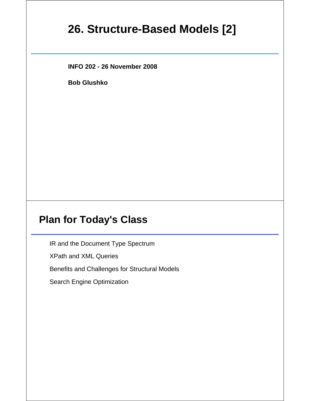# **26. Structure-Based Models [2]**

**INFO 202 - 26 November 2008**

**Bob Glushko**

### **Plan for Today's Class**

IR and the Document Type Spectrum

XPath and XML Queries

Benefits and Challenges for Structural Models

Search Engine Optimization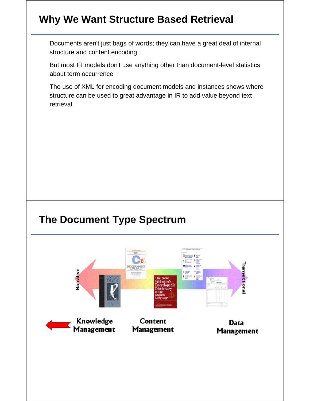# **Why We Want Structure Based Retrieval**

Documents aren't just bags of words; they can have a great deal of internal structure and content encoding

But most IR models don't use anything other than document-level statistics about term occurrence

The use of XML for encoding document models and instances shows where structure can be used to great advantage in IR to add value beyond text retrieval

### **The Document Type Spectrum**

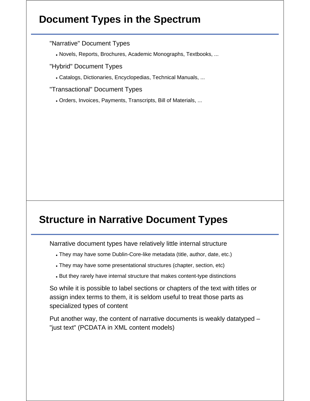# **Document Types in the Spectrum**

"Narrative" Document Types

Novels, Reports, Brochures, Academic Monographs, Textbooks, ...

"Hybrid" Document Types

Catalogs, Dictionaries, Encyclopedias, Technical Manuals, ...

"Transactional" Document Types

Orders, Invoices, Payments, Transcripts, Bill of Materials, ...

## **Structure in Narrative Document Types**

Narrative document types have relatively little internal structure

- They may have some Dublin-Core-like metadata (title, author, date, etc.)
- They may have some presentational structures (chapter, section, etc)
- But they rarely have internal structure that makes content-type distinctions

So while it is possible to label sections or chapters of the text with titles or assign index terms to them, it is seldom useful to treat those parts as specialized types of content

Put another way, the content of narrative documents is weakly datatyped – "just text" (PCDATA in XML content models)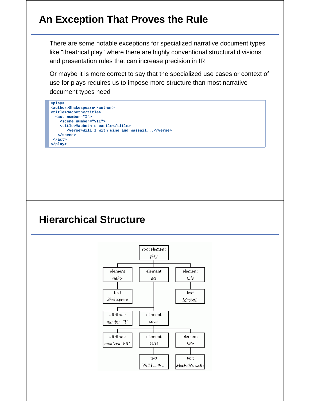## **An Exception That Proves the Rule**

There are some notable exceptions for specialized narrative document types like "theatrical play" where there are highly conventional structural divisions and presentation rules that can increase precision in IR

Or maybe it is more correct to say that the specialized use cases or context of use for plays requires us to impose more structure than most narrative document types need



#### **Hierarchical Structure**

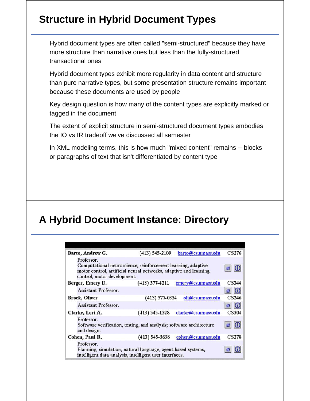# **Structure in Hybrid Document Types**

Hybrid document types are often called "semi-structured" because they have more structure than narrative ones but less than the fully-structured transactional ones

Hybrid document types exhibit more regularity in data content and structure than pure narrative types, but some presentation structure remains important because these documents are used by people

Key design question is how many of the content types are explicitly marked or tagged in the document

The extent of explicit structure in semi-structured document types embodies the IO vs IR tradeoff we've discussed all semester

In XML modeling terms, this is how much "mixed content" remains -- blocks or paragraphs of text that isn't differentiated by content type

# **A Hybrid Document Instance: Directory**

| Barto, Andrew G.                                                                                                                      | $(413) 545 - 2109$                                                                                                               | barto@cs.umass.edu  | CS276 |
|---------------------------------------------------------------------------------------------------------------------------------------|----------------------------------------------------------------------------------------------------------------------------------|---------------------|-------|
| Professor.<br>control, motor development.                                                                                             | Computational neuroscience, reinforcement learning, adaptive<br>motor control, artificial neural networks, adaptive and learning |                     |       |
| Berger, Emery D.                                                                                                                      | $(413) 577 - 4211$                                                                                                               | emery@cs.umass.edu  | CS344 |
| <b>Assistant Professor.</b>                                                                                                           |                                                                                                                                  |                     |       |
| <b>Brock, Oliver</b>                                                                                                                  | (413) 577-0334                                                                                                                   | oli@cs.umass.edu    | CS246 |
| Assistant Professor.                                                                                                                  |                                                                                                                                  |                     |       |
| Clarke, Lori A.                                                                                                                       | $(413)$ 545-1328                                                                                                                 | clarke@cs.umass.edu | CS304 |
| Professor.<br>and design.                                                                                                             | Software verification, testing, and analysis; software architecture                                                              |                     | ŵ     |
| Cohen, Paul R.                                                                                                                        | $(413)$ 545-3638                                                                                                                 | cohen@cs.umass.edu  | CS278 |
| Professor.<br>Planning, simulation, natural language, agent-based systems,<br>intelligent data analysis, intelligent user interfaces. |                                                                                                                                  |                     |       |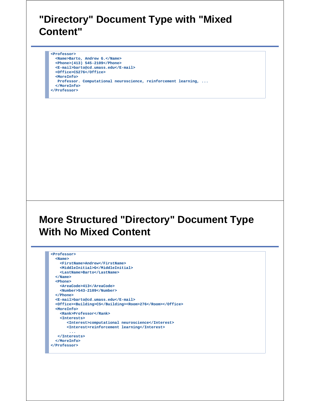#### **"Directory" Document Type with "Mixed Content"**

**<Professor> <Name>Barto, Andrew G.</Name> <Phone>(413) 545-2109</Phone> <E-mail>barto@cd.umass.edu</E-mail> <Office>CS276</Office> <MoreInfo> Professor. Computational neuroscience, reinforcement learning, ... </MoreInfo> </Professor>** 

# **More Structured "Directory" Document Type With No Mixed Content**

```
<Professor>
  <Name>
    <FirstName>Andrew</FirstName>
    <MiddleInitial>G</MiddleInitial>
     <LastName>Barto</LastName>
  </Name>
  <Phone>
     <AreaCode>413</AreaCode>
    <Number>543-2109</Number>
  </Phone>
  <E-mail>barto@cd.umass.edu</E-mail>
  <Office><Building>CS</Building><Room>276</Room></Office>
  <MoreInfo>
     <Rank>Professor</Rank>
     <Interests>
       <Interest>computational neuroscience</Interest>
       <Interest>reinforcement learning</Interest>
         ...
   </Interests>
  </MoreInfo>
</Professor>
```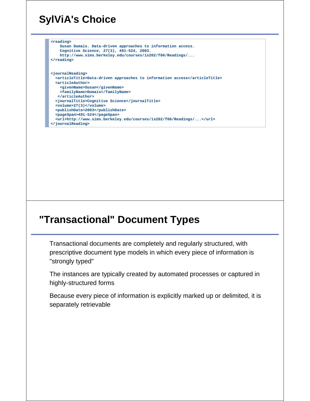# **SylViA's Choice**

```
<reading>
     Susan Dumais. Data-driven approaches to information access.
    Cognitive Science, 27(3), 491-524, 2003.
    http://www.sims.berkeley.edu/courses/is202/f06/Readings/...
</reading>
<journalReading>
  <articleTitle>Data-driven approaches to information access</articleTitle>
  <articleAuthor>
    <givenName>Susan</givenName>
    <familyName>Dumais</familyName>
   </articleAuthor>
  <journalTitle>Cognitive Science</journalTitle>
   <volume>27(3)</volume>
  <publishDate>2003</publishDate>
   <pageSpan>491-524</pageSpan>
   <url>http://www.sims.berkeley.edu/courses/is202/f06/Readings/...</url>
</journalReading>
```
## **"Transactional" Document Types**

Transactional documents are completely and regularly structured, with prescriptive document type models in which every piece of information is "strongly typed"

The instances are typically created by automated processes or captured in highly-structured forms

Because every piece of information is explicitly marked up or delimited, it is separately retrievable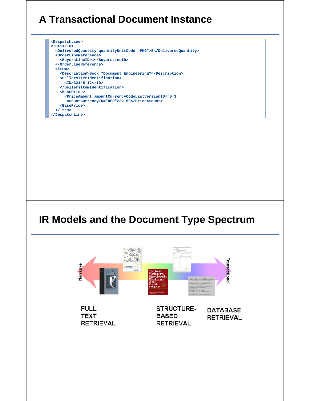# **A Transactional Document Instance**

**<DespatchLine> <ID>1</ID> <DeliveredQuantity quantityUnitCode="PKG">5</DeliveredQuantity> <OrderLineReference> <BuyersLineID>1</BuyersLineID> </OrderLineReference> <Item> <Description>Book "Document Engineering"</Description> <SellersItemIdentification> <ID>32145-12</ID> </SellersItemIdentification> <BasePrice> <PriceAmount amountCurrencyCodeListVersionID="0.3" amountCurrencyID="USD">32.50</PriceAmount> <BasePrice> </Item> </DespatchLine>**

#### **IR Models and the Document Type Spectrum**



**FULL TEXT RETRIEVAL**  STRUCTURE-**BASED RETRIEVAL** 

**DATABASE RETRIEVAL**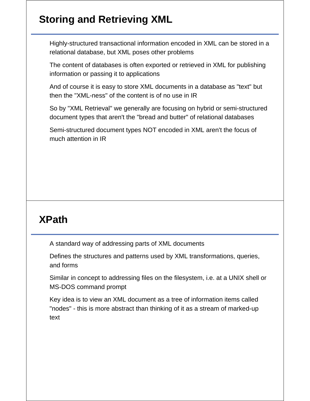# **Storing and Retrieving XML**

Highly-structured transactional information encoded in XML can be stored in a relational database, but XML poses other problems

The content of databases is often exported or retrieved in XML for publishing information or passing it to applications

And of course it is easy to store XML documents in a database as "text" but then the "XML-ness" of the content is of no use in IR

So by "XML Retrieval" we generally are focusing on hybrid or semi-structured document types that aren't the "bread and butter" of relational databases

Semi-structured document types NOT encoded in XML aren't the focus of much attention in IR

## **XPath**

A standard way of addressing parts of XML documents

Defines the structures and patterns used by XML transformations, queries, and forms

Similar in concept to addressing files on the filesystem, i.e. at a UNIX shell or MS-DOS command prompt

Key idea is to view an XML document as a tree of information items called "nodes" - this is more abstract than thinking of it as a stream of marked-up text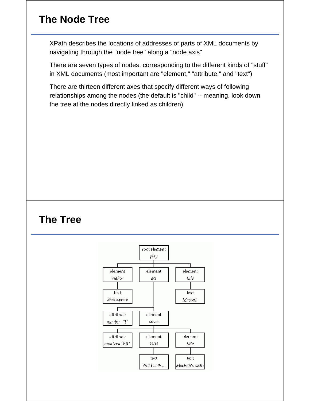# **The Node Tree**

XPath describes the locations of addresses of parts of XML documents by navigating through the "node tree" along a "node axis"

There are seven types of nodes, corresponding to the different kinds of "stuff" in XML documents (most important are "element," "attribute," and "text")

There are thirteen different axes that specify different ways of following relationships among the nodes (the default is "child" -- meaning, look down the tree at the nodes directly linked as children)

### **The Tree**

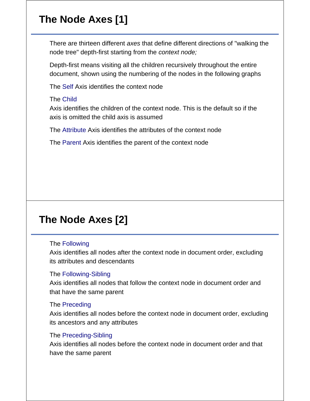# **The Node Axes [1]**

There are thirteen different *axes* that define different directions of "walking the node tree" depth-first starting from the *context node;*

Depth-first means visiting all the children recursively throughout the entire document, shown using the numbering of the nodes in the following graphs

The Self Axis identifies the context node

#### The Child

Axis identifies the children of the context node. This is the default so if the axis is omitted the child axis is assumed

The Attribute Axis identifies the attributes of the context node

The Parent Axis identifies the parent of the context node

# **The Node Axes [2]**

#### The Following

Axis identifies all nodes after the context node in document order, excluding its attributes and descendants

#### The Following-Sibling

Axis identifies all nodes that follow the context node in document order and that have the same parent

#### The Preceding

Axis identifies all nodes before the context node in document order, excluding its ancestors and any attributes

#### The Preceding-Sibling

Axis identifies all nodes before the context node in document order and that have the same parent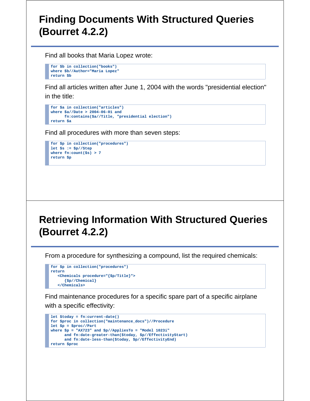#### **Finding Documents With Structured Queries (Bourret 4.2.2)**

Find all books that Maria Lopez wrote:

```
for $b in collection("books")
where $b//Author="Maria Lopez"
return $b
```
Find all articles written after June 1, 2004 with the words "presidential election" in the title:

```
for $a in collection("articles")
where $a//Date > 2004-06-01 and
      fn:contains($a//Title, "presidential election")
return $a
```
Find all procedures with more than seven steps:

```
for $p in collection("procedures")
let $s := $p//Step
where fn:count($s) > 7
return $p
```
# **Retrieving Information With Structured Queries (Bourret 4.2.2)**

From a procedure for synthesizing a compound, list the required chemicals:

```
for $p in collection("procedures")
return
    <Chemicals procedure="{$p/Title}">
       {$p//Chemical}
    </Chemicals>
```
Find maintenance procedures for a specific spare part of a specific airplane with a specific effectivity:

```
let $today = fn:current-date()
for $proc in collection("maintenance_docs")//Procedure
let $p = $proc//Part
where $p = "AX723" and $p//AppliesTo = "Model 1023i"
      and fn:date-greater-than($today, $p//EffectivityStart)
       and fn:date-less-than($today, $p//EffectivityEnd)
return $proc
```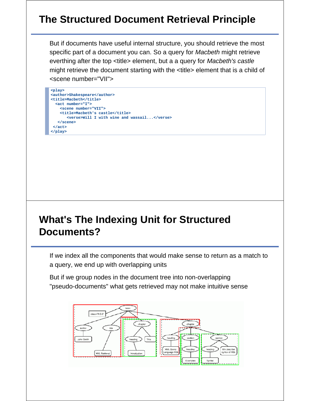# **The Structured Document Retrieval Principle**

But if documents have useful internal structure, you should retrieve the most specific part of a document you can. So a query for *Macbeth* might retrieve everthing after the top <title> element, but a a query for *Macbeth's castle* might retrieve the document starting with the <title> element that is a child of <scene number="VII">

```
<play>
<author>Shakespeare</author>
<title>Macbeth</title>
   <act number="I">
    <scene number="VII">
    <title>Macbeth's castle</title>
       <verse>Will I with wine and wassail...</verse>
   </scene>
  </act>
</play>
```
### **What's The Indexing Unit for Structured Documents?**

If we index all the components that would make sense to return as a match to a query, we end up with overlapping units

But if we group nodes in the document tree into non-overlapping "pseudo-documents" what gets retrieved may not make intuitive sense

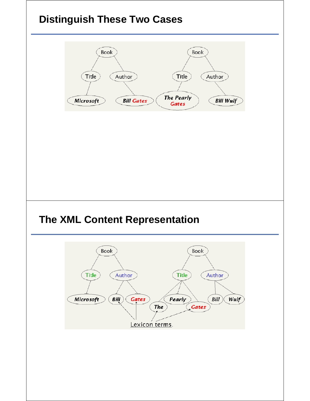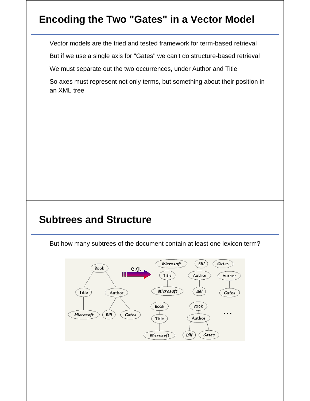# **Encoding the Two "Gates" in a Vector Model**

Vector models are the tried and tested framework for term-based retrieval

But if we use a single axis for "Gates" we can't do structure-based retrieval

We must separate out the two occurrences, under Author and Title

So axes must represent not only terms, but something about their position in an XML tree

## **Subtrees and Structure**

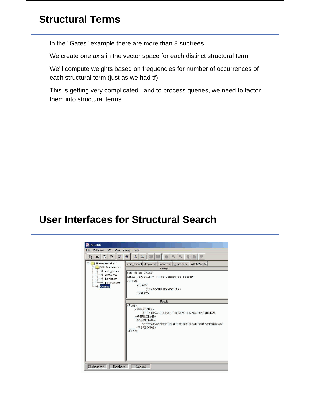# **Structural Terms**

In the "Gates" example there are more than 8 subtrees

We create one axis in the vector space for each distinct structural term

We'll compute weights based on frequencies for number of occurrences of each structural term (just as we had tf)

This is getting very complicated...and to process queries, we need to factor them into structural terms

### **User Interfaces for Structural Search**

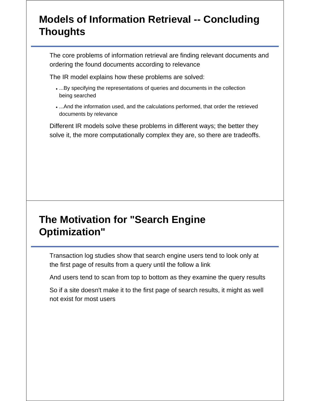# **Models of Information Retrieval -- Concluding Thoughts**

The core problems of information retrieval are finding relevant documents and ordering the found documents according to relevance

The IR model explains how these problems are solved:

- ...By specifying the representations of queries and documents in the collection being searched
- ...And the information used, and the calculations performed, that order the retrieved documents by relevance

Different IR models solve these problems in different ways; the better they solve it, the more computationally complex they are, so there are tradeoffs.

### **The Motivation for "Search Engine Optimization"**

Transaction log studies show that search engine users tend to look only at the first page of results from a query until the follow a link

And users tend to scan from top to bottom as they examine the query results

So if a site doesn't make it to the first page of search results, it might as well not exist for most users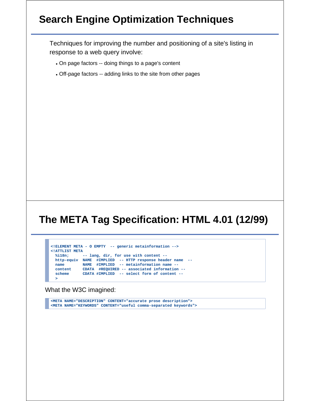## **Search Engine Optimization Techniques**

Techniques for improving the number and positioning of a site's listing in response to a web query involve:

- On page factors -- doing things to a page's content
- Off-page factors -- adding links to the site from other pages

# **The META Tag Specification: HTML 4.01 (12/99)**

```
<!ELEMENT META - O EMPTY -- generic metainformation -->
<!ATTLIST META
  %i18n; -- lang, dir, for use with content --
 http-equiv NAME #IMPLIED -- HTTP response header name --
 name NAME #IMPLIED -- metainformation name --
 content CDATA #REQUIRED -- associated information --
  scheme CDATA #IMPLIED -- select form of content --
  >
```
What the W3C imagined:

**<META NAME="DESCRIPTION" CONTENT="accurate prose description"> <META NAME="KEYWORDS" CONTENT="useful comma-separated keywords">**